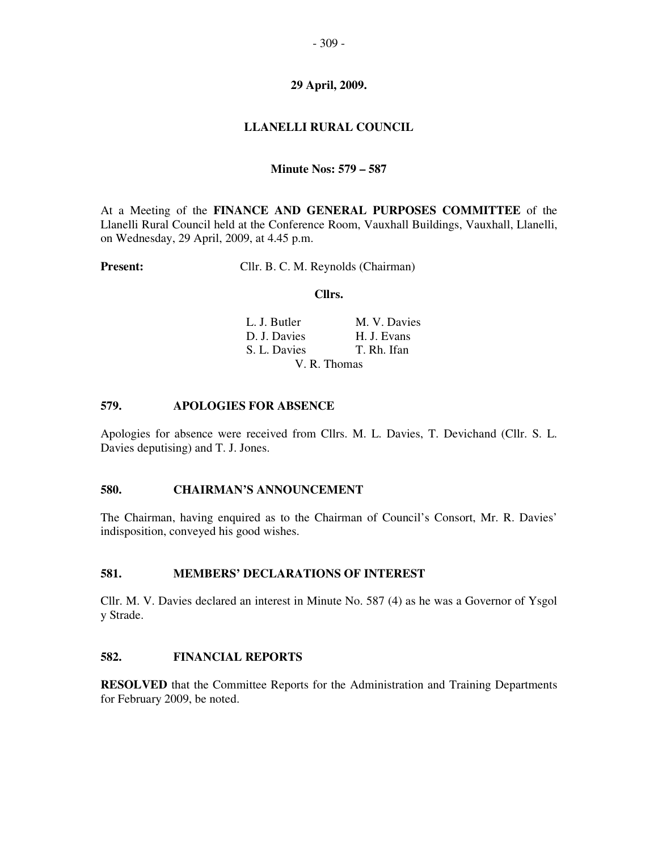# **29 April, 2009.**

# **LLANELLI RURAL COUNCIL**

#### **Minute Nos: 579 – 587**

At a Meeting of the **FINANCE AND GENERAL PURPOSES COMMITTEE** of the Llanelli Rural Council held at the Conference Room, Vauxhall Buildings, Vauxhall, Llanelli, on Wednesday, 29 April, 2009, at 4.45 p.m.

**Present:** Cllr. B. C. M. Reynolds (Chairman)

#### **Cllrs.**

| L. J. Butler | M. V. Davies |
|--------------|--------------|
| D. J. Davies | H. J. Evans  |
| S. L. Davies | T. Rh. Ifan  |
| V. R. Thomas |              |

#### **579. APOLOGIES FOR ABSENCE**

Apologies for absence were received from Cllrs. M. L. Davies, T. Devichand (Cllr. S. L. Davies deputising) and T. J. Jones.

#### **580. CHAIRMAN'S ANNOUNCEMENT**

The Chairman, having enquired as to the Chairman of Council's Consort, Mr. R. Davies' indisposition, conveyed his good wishes.

#### **581. MEMBERS' DECLARATIONS OF INTEREST**

Cllr. M. V. Davies declared an interest in Minute No. 587 (4) as he was a Governor of Ysgol y Strade.

#### **582. FINANCIAL REPORTS**

**RESOLVED** that the Committee Reports for the Administration and Training Departments for February 2009, be noted.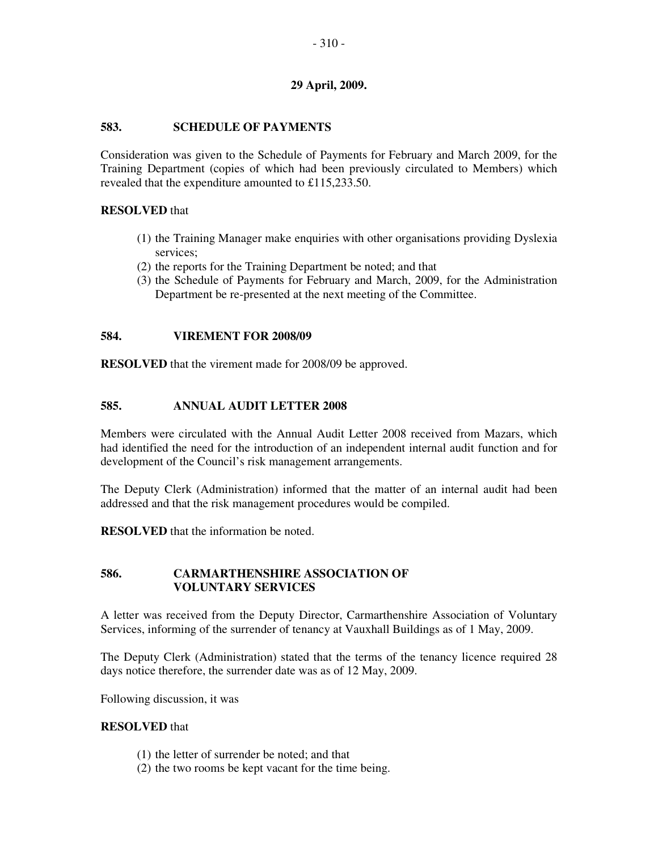# **29 April, 2009.**

# **583. SCHEDULE OF PAYMENTS**

Consideration was given to the Schedule of Payments for February and March 2009, for the Training Department (copies of which had been previously circulated to Members) which revealed that the expenditure amounted to £115,233.50.

# **RESOLVED** that

- (1) the Training Manager make enquiries with other organisations providing Dyslexia services;
- (2) the reports for the Training Department be noted; and that
- (3) the Schedule of Payments for February and March, 2009, for the Administration Department be re-presented at the next meeting of the Committee.

# **584. VIREMENT FOR 2008/09**

**RESOLVED** that the virement made for 2008/09 be approved.

# **585. ANNUAL AUDIT LETTER 2008**

Members were circulated with the Annual Audit Letter 2008 received from Mazars, which had identified the need for the introduction of an independent internal audit function and for development of the Council's risk management arrangements.

The Deputy Clerk (Administration) informed that the matter of an internal audit had been addressed and that the risk management procedures would be compiled.

**RESOLVED** that the information be noted.

# **586. CARMARTHENSHIRE ASSOCIATION OF VOLUNTARY SERVICES**

A letter was received from the Deputy Director, Carmarthenshire Association of Voluntary Services, informing of the surrender of tenancy at Vauxhall Buildings as of 1 May, 2009.

The Deputy Clerk (Administration) stated that the terms of the tenancy licence required 28 days notice therefore, the surrender date was as of 12 May, 2009.

Following discussion, it was

#### **RESOLVED** that

- (1) the letter of surrender be noted; and that
- (2) the two rooms be kept vacant for the time being.